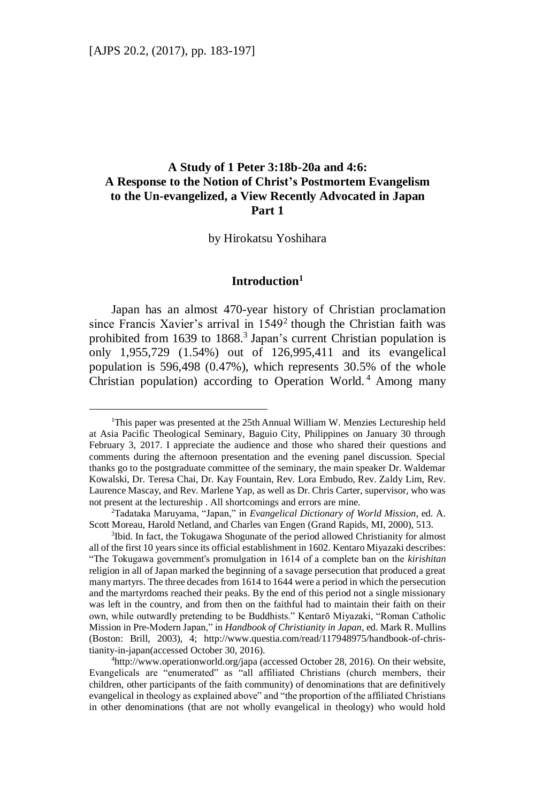$\overline{a}$ 

# **A Study of 1 Peter 3:18b-20a and 4:6: A Response to the Notion of Christ's Postmortem Evangelism to the Un-evangelized, a View Recently Advocated in Japan Part 1**

by Hirokatsu Yoshihara

# **Introduction<sup>1</sup>**

Japan has an almost 470-year history of Christian proclamation since Francis Xavier's arrival in  $1549<sup>2</sup>$  though the Christian faith was prohibited from 1639 to 1868.<sup>3</sup> Japan's current Christian population is only 1,955,729 (1.54%) out of 126,995,411 and its evangelical population is 596,498 (0.47%), which represents 30.5% of the whole Christian population) according to Operation World. <sup>4</sup> Among many

<sup>2</sup>Tadataka Maruyama, "Japan," in *Evangelical Dictionary of World Mission*, ed. A. Scott Moreau, Harold Netland, and Charles van Engen (Grand Rapids, MI, 2000), 513.

<sup>&</sup>lt;sup>1</sup>This paper was presented at the 25th Annual William W. Menzies Lectureship held at Asia Pacific Theological Seminary, Baguio City, Philippines on January 30 through February 3, 2017. I appreciate the audience and those who shared their questions and comments during the afternoon presentation and the evening panel discussion. Special thanks go to the postgraduate committee of the seminary, the main speaker Dr. Waldemar Kowalski, Dr. Teresa Chai, Dr. Kay Fountain, Rev. Lora Embudo, Rev. Zaldy Lim, Rev. Laurence Mascay, and Rev. Marlene Yap, as well as Dr. Chris Carter, supervisor, who was not present at the lectureship . All shortcomings and errors are mine.

<sup>&</sup>lt;sup>3</sup>Ibid. In fact, the Tokugawa Shogunate of the period allowed Christianity for almost all of the first 10 years since its official establishment in 1602. Kentaro Miyazaki describes: "The Tokugawa government's promulgation in 1614 of a complete ban on the *kirishitan* religion in all of Japan marked the beginning of a savage persecution that produced a great many martyrs. The three decades from 1614 to 1644 were a period in which the persecution and the martyrdoms reached their peaks. By the end of this period not a single missionary was left in the country, and from then on the faithful had to maintain their faith on their own, while outwardly pretending to be Buddhists." Kentarō Miyazaki, "Roman Catholic Mission in Pre-Modern Japan," in *Handbook of Christianity in Japan*, ed. Mark R. Mullins (Boston: Brill, 2003), 4; http://www.questia.com/read/117948975/handbook-of-christianity-in-japan(accessed October 30, 2016).

<sup>4</sup>http://www.operationworld.org/japa (accessed October 28, 2016). On their website, Evangelicals are "enumerated" as "all affiliated Christians (church members, their children, other participants of the faith community) of denominations that are definitively evangelical in theology as explained above" and "the proportion of the affiliated Christians in other denominations (that are not wholly evangelical in theology) who would hold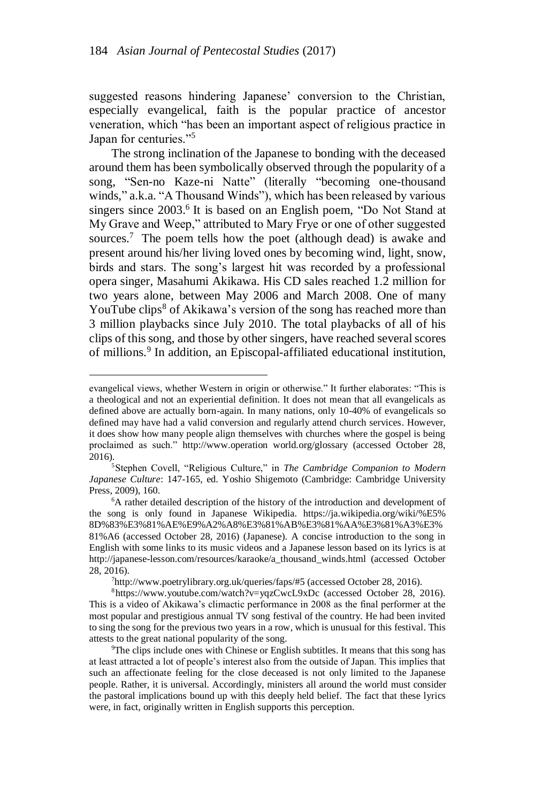suggested reasons hindering Japanese' conversion to the Christian, especially evangelical, faith is the popular practice of ancestor veneration, which "has been an important aspect of religious practice in Japan for centuries."<sup>5</sup>

The strong inclination of the Japanese to bonding with the deceased around them has been symbolically observed through the popularity of a song, "Sen-no Kaze-ni Natte" (literally "becoming one-thousand winds," a.k.a. "A Thousand Winds"), which has been released by various singers since 2003.<sup>6</sup> It is based on an English poem, "Do Not Stand at My Grave and Weep," attributed to Mary Frye or one of other suggested sources.<sup>7</sup> The poem tells how the poet (although dead) is awake and present around his/her living loved ones by becoming wind, light, snow, birds and stars. The song's largest hit was recorded by a professional opera singer, Masahumi Akikawa. His CD sales reached 1.2 million for two years alone, between May 2006 and March 2008. One of many YouTube clips<sup>8</sup> of Akikawa's version of the song has reached more than 3 million playbacks since July 2010. The total playbacks of all of his clips of this song, and those by other singers, have reached several scores of millions. 9 In addition, an Episcopal-affiliated educational institution,

 $\overline{a}$ 

<sup>7</sup>http://www.poetrylibrary.org.uk/queries/faps/#5 (accessed October 28, 2016).

evangelical views, whether Western in origin or otherwise." It further elaborates: "This is a theological and not an experiential definition. It does not mean that all evangelicals as defined above are actually born-again. In many nations, only 10-40% of evangelicals so defined may have had a valid conversion and regularly attend church services. However, it does show how many people align themselves with churches where the gospel is being proclaimed as such." http://www.operation world.org/glossary (accessed October 28, 2016).

<sup>5</sup>Stephen Covell, "Religious Culture," in *The Cambridge Companion to Modern Japanese Culture*: 147-165, ed. Yoshio Shigemoto (Cambridge: Cambridge University Press, 2009), 160.

<sup>6</sup>A rather detailed description of the history of the introduction and development of the song is only found in Japanese Wikipedia. https://ja.wikipedia.org/wiki/%E5% 8D%83%E3%81%AE%E9%A2%A8%E3%81%AB%E3%81%AA%E3%81%A3%E3% 81%A6 (accessed October 28, 2016) (Japanese). A concise introduction to the song in English with some links to its music videos and a Japanese lesson based on its lyrics is at http://japanese-lesson.com/resources/karaoke/a\_thousand\_winds.html (accessed October 28, 2016).

 $8$ https://www.youtube.com/watch?v=yqzCwcL9xDc (accessed October 28, 2016). This is a video of Akikawa's climactic performance in 2008 as the final performer at the most popular and prestigious annual TV song festival of the country. He had been invited to sing the song for the previous two years in a row, which is unusual for this festival. This attests to the great national popularity of the song.

<sup>&</sup>lt;sup>9</sup>The clips include ones with Chinese or English subtitles. It means that this song has at least attracted a lot of people's interest also from the outside of Japan. This implies that such an affectionate feeling for the close deceased is not only limited to the Japanese people. Rather, it is universal. Accordingly, ministers all around the world must consider the pastoral implications bound up with this deeply held belief. The fact that these lyrics were, in fact, originally written in English supports this perception.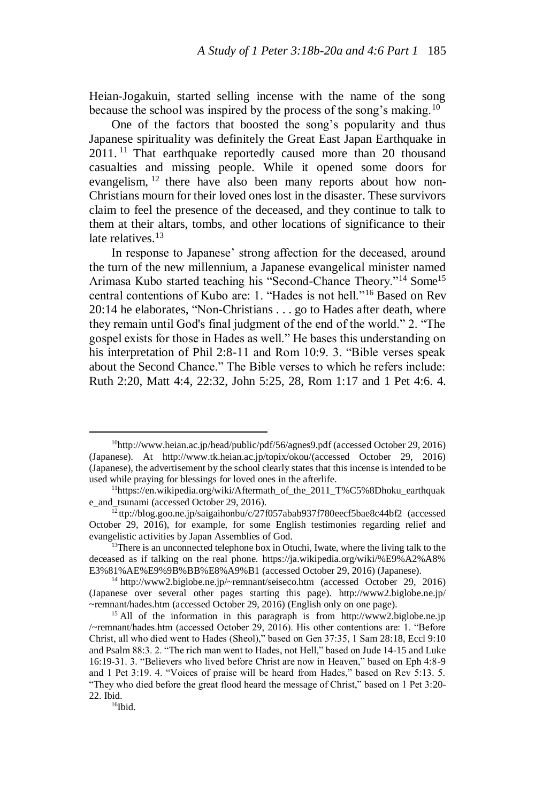Heian-Jogakuin, started selling incense with the name of the song because the school was inspired by the process of the song's making.<sup>10</sup>

One of the factors that boosted the song's popularity and thus Japanese spirituality was definitely the Great East Japan Earthquake in 2011.<sup>11</sup> That earthquake reportedly caused more than 20 thousand casualties and missing people. While it opened some doors for evangelism, <sup>12</sup> there have also been many reports about how non-Christians mourn for their loved ones lost in the disaster. These survivors claim to feel the presence of the deceased, and they continue to talk to them at their altars, tombs, and other locations of significance to their late relatives.<sup>13</sup>

In response to Japanese' strong affection for the deceased, around the turn of the new millennium, a Japanese evangelical minister named Arimasa Kubo started teaching his "Second-Chance Theory."<sup>14</sup> Some<sup>15</sup> central contentions of Kubo are: 1. "Hades is not hell."<sup>16</sup> Based on Rev 20:14 he elaborates, "Non-Christians . . . go to Hades after death, where they remain until God's final judgment of the end of the world." 2. "The gospel exists for those in Hades as well." He bases this understanding on his interpretation of Phil 2:8-11 and Rom 10:9. 3. "Bible verses speak about the Second Chance." The Bible verses to which he refers include: Ruth 2:20, Matt 4:4, 22:32, John 5:25, 28, Rom 1:17 and 1 Pet 4:6. 4.

 $16$ Ibid.

<sup>10</sup>http://www.heian.ac.jp/head/public/pdf/56/agnes9.pdf (accessed October 29, 2016) (Japanese). At http://www.tk.heian.ac.jp/topix/okou/(accessed October 29, 2016) (Japanese), the advertisement by the school clearly states that this incense is intended to be used while praying for blessings for loved ones in the afterlife.

<sup>&</sup>lt;sup>11</sup>https://en.wikipedia.org/wiki/Aftermath\_of\_the\_2011\_T%C5%8Dhoku\_earthquak e\_and\_tsunami (accessed October 29, 2016).

<sup>&</sup>lt;sup>12</sup>ttp://blog.goo.ne.jp/saigaihonbu/c/27f057abab937f780eecf5bae8c44bf2 (accessed October 29, 2016), for example, for some English testimonies regarding relief and evangelistic activities by Japan Assemblies of God.

<sup>&</sup>lt;sup>13</sup>There is an unconnected telephone box in Otuchi, Iwate, where the living talk to the deceased as if talking on the real phone. https://ja.wikipedia.org/wiki/%E9%A2%A8% E3%81%AE%E9%9B%BB%E8%A9%B1 (accessed October 29, 2016) (Japanese).

<sup>&</sup>lt;sup>14</sup> http://www2.biglobe.ne.jp/~remnant/seiseco.htm (accessed October 29, 2016) (Japanese over several other pages starting this page). http://www2.biglobe.ne.jp/ ~remnant/hades.htm (accessed October 29, 2016) (English only on one page).

<sup>&</sup>lt;sup>15</sup> All of the information in this paragraph is from http://www2.biglobe.ne.jp /~remnant/hades.htm (accessed October 29, 2016). His other contentions are: 1. "Before Christ, all who died went to Hades (Sheol)," based on Gen 37:35, 1 Sam 28:18, Eccl 9:10 and Psalm 88:3. 2. "The rich man went to Hades, not Hell," based on Jude 14-15 and Luke 16:19-31. 3. "Believers who lived before Christ are now in Heaven," based on Eph 4:8-9 and 1 Pet 3:19. 4. "Voices of praise will be heard from Hades," based on Rev 5:13. 5. "They who died before the great flood heard the message of Christ," based on 1 Pet 3:20- 22. Ibid.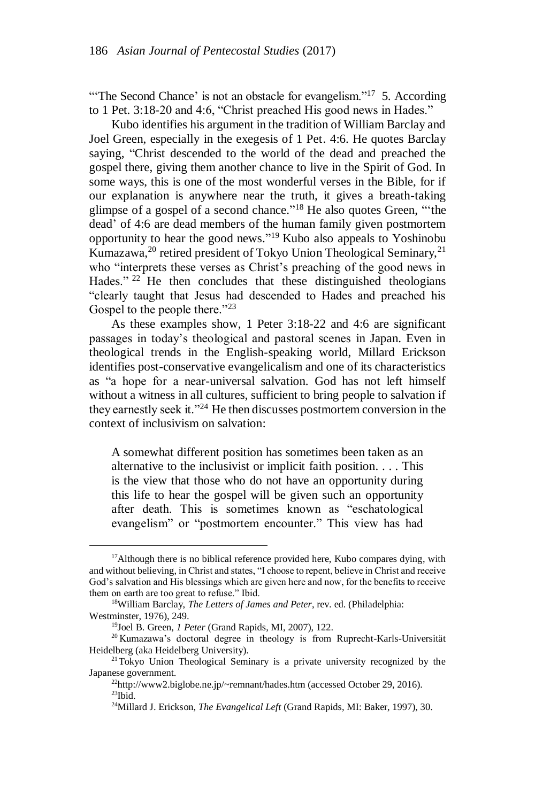"The Second Chance' is not an obstacle for evangelism."<sup>17</sup> 5. According to 1 Pet. 3:18-20 and 4:6, "Christ preached His good news in Hades."

Kubo identifies his argument in the tradition of William Barclay and Joel Green, especially in the exegesis of 1 Pet. 4:6. He quotes Barclay saying, "Christ descended to the world of the dead and preached the gospel there, giving them another chance to live in the Spirit of God. In some ways, this is one of the most wonderful verses in the Bible, for if our explanation is anywhere near the truth, it gives a breath-taking glimpse of a gospel of a second chance." <sup>18</sup> He also quotes Green, "'the dead' of 4:6 are dead members of the human family given postmortem opportunity to hear the good news." <sup>19</sup> Kubo also appeals to Yoshinobu Kumazawa,<sup>20</sup> retired president of Tokyo Union Theological Seminary,<sup>21</sup> who "interprets these verses as Christ's preaching of the good news in Hades."<sup>22</sup> He then concludes that these distinguished theologians "clearly taught that Jesus had descended to Hades and preached his Gospel to the people there."<sup>23</sup>

As these examples show, 1 Peter 3:18-22 and 4:6 are significant passages in today's theological and pastoral scenes in Japan. Even in theological trends in the English-speaking world, Millard Erickson identifies post-conservative evangelicalism and one of its characteristics as "a hope for a near-universal salvation. God has not left himself without a witness in all cultures, sufficient to bring people to salvation if they earnestly seek it."<sup>24</sup> He then discusses postmortem conversion in the context of inclusivism on salvation:

A somewhat different position has sometimes been taken as an alternative to the inclusivist or implicit faith position. . . . This is the view that those who do not have an opportunity during this life to hear the gospel will be given such an opportunity after death. This is sometimes known as "eschatological evangelism" or "postmortem encounter." This view has had

<sup>&</sup>lt;sup>17</sup>Although there is no biblical reference provided here, Kubo compares dying, with and without believing, in Christ and states, "I choose to repent, believe in Christ and receive God's salvation and His blessings which are given here and now, for the benefits to receive them on earth are too great to refuse." Ibid.

<sup>18</sup>William Barclay, *The Letters of James and Peter*, rev. ed. (Philadelphia: Westminster, 1976), 249.

<sup>19</sup>Joel B. Green, *1 Peter* (Grand Rapids, MI, 2007), 122.

<sup>&</sup>lt;sup>20</sup> Kumazawa's doctoral degree in theology is from Ruprecht-Karls-Universität Heidelberg (aka Heidelberg University).

<sup>&</sup>lt;sup>21</sup>Tokyo Union Theological Seminary is a private university recognized by the Japanese government.

<sup>22</sup>http://www2.biglobe.ne.jp/~remnant/hades.htm (accessed October 29, 2016).  $23$ Ibid.

<sup>24</sup>Millard J. Erickson, *The Evangelical Left* (Grand Rapids, MI: Baker, 1997), 30.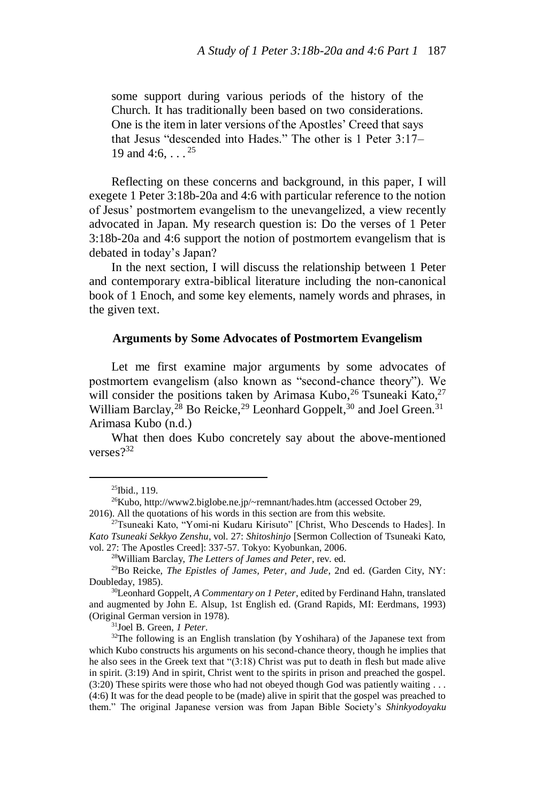some support during various periods of the history of the Church. It has traditionally been based on two considerations. One is the item in later versions of the Apostles' Creed that says that Jesus "descended into Hades." The other is 1 Peter 3:17– 19 and 4:6,  $\ldots$ <sup>25</sup>

Reflecting on these concerns and background, in this paper, I will exegete 1 Peter 3:18b-20a and 4:6 with particular reference to the notion of Jesus' postmortem evangelism to the unevangelized, a view recently advocated in Japan. My research question is: Do the verses of 1 Peter 3:18b-20a and 4:6 support the notion of postmortem evangelism that is debated in today's Japan?

In the next section, I will discuss the relationship between 1 Peter and contemporary extra-biblical literature including the non-canonical book of 1 Enoch, and some key elements, namely words and phrases, in the given text.

### **Arguments by Some Advocates of Postmortem Evangelism**

Let me first examine major arguments by some advocates of postmortem evangelism (also known as "second-chance theory"). We will consider the positions taken by Arimasa Kubo,  $^{26}$  Tsuneaki Kato,  $^{27}$ William Barclay,<sup>28</sup> Bo Reicke,<sup>29</sup> Leonhard Goppelt,<sup>30</sup> and Joel Green.<sup>31</sup> Arimasa Kubo (n.d.)

What then does Kubo concretely say about the above-mentioned verses?<sup>32</sup>

 $\overline{a}$ 

<sup>31</sup>Joel B. Green, *1 Peter*.

<sup>25</sup>Ibid., 119.

<sup>26</sup>Kubo, http://www2.biglobe.ne.jp/~remnant/hades.htm (accessed October 29, 2016). All the quotations of his words in this section are from this website.

<sup>27</sup>Tsuneaki Kato, "Yomi-ni Kudaru Kirisuto" [Christ, Who Descends to Hades]. In *Kato Tsuneaki Sekkyo Zenshu*, vol. 27: *Shitoshinjo* [Sermon Collection of Tsuneaki Kato, vol. 27: The Apostles Creed]: 337-57. Tokyo: Kyobunkan, 2006.

<sup>28</sup>William Barclay, *The Letters of James and Peter*, rev. ed.

<sup>29</sup>Bo Reicke, *The Epistles of James, Peter, and Jude*, 2nd ed. (Garden City, NY: Doubleday, 1985).

<sup>30</sup>Leonhard Goppelt, *A Commentary on 1 Peter*, edited by Ferdinand Hahn, translated and augmented by John E. Alsup, 1st English ed. (Grand Rapids, MI: Eerdmans, 1993) (Original German version in 1978).

<sup>&</sup>lt;sup>32</sup>The following is an English translation (by Yoshihara) of the Japanese text from which Kubo constructs his arguments on his second-chance theory, though he implies that he also sees in the Greek text that "(3:18) Christ was put to death in flesh but made alive in spirit. (3:19) And in spirit, Christ went to the spirits in prison and preached the gospel. (3:20) These spirits were those who had not obeyed though God was patiently waiting . . . (4:6) It was for the dead people to be (made) alive in spirit that the gospel was preached to them." The original Japanese version was from Japan Bible Society's *Shinkyodoyaku*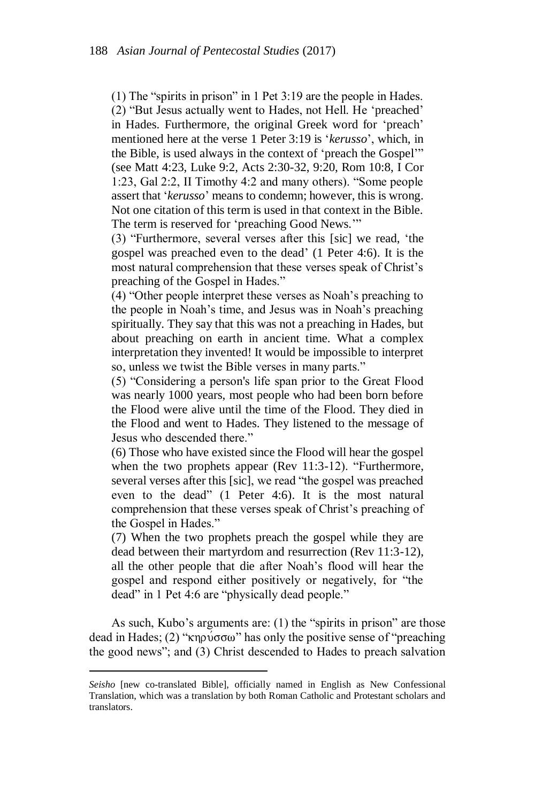(1) The "spirits in prison" in 1 Pet 3:19 are the people in Hades. (2) "But Jesus actually went to Hades, not Hell. He 'preached' in Hades. Furthermore, the original Greek word for 'preach' mentioned here at the verse 1 Peter 3:19 is '*kerusso*', which, in the Bible, is used always in the context of 'preach the Gospel'" (see Matt 4:23, Luke 9:2, Acts 2:30-32, 9:20, Rom 10:8, I Cor 1:23, Gal 2:2, II Timothy 4:2 and many others). "Some people assert that '*kerusso*' means to condemn; however, this is wrong. Not one citation of this term is used in that context in the Bible. The term is reserved for 'preaching Good News.'"

(3) "Furthermore, several verses after this [sic] we read, 'the gospel was preached even to the dead' (1 Peter 4:6). It is the most natural comprehension that these verses speak of Christ's preaching of the Gospel in Hades."

(4) "Other people interpret these verses as Noah's preaching to the people in Noah's time, and Jesus was in Noah's preaching spiritually. They say that this was not a preaching in Hades, but about preaching on earth in ancient time. What a complex interpretation they invented! It would be impossible to interpret so, unless we twist the Bible verses in many parts."

(5) "Considering a person's life span prior to the Great Flood was nearly 1000 years, most people who had been born before the Flood were alive until the time of the Flood. They died in the Flood and went to Hades. They listened to the message of Jesus who descended there."

(6) Those who have existed since the Flood will hear the gospel when the two prophets appear (Rev 11:3-12). "Furthermore, several verses after this [sic], we read "the gospel was preached even to the dead" (1 Peter 4:6). It is the most natural comprehension that these verses speak of Christ's preaching of the Gospel in Hades."

(7) When the two prophets preach the gospel while they are dead between their martyrdom and resurrection (Rev 11:3-12), all the other people that die after Noah's flood will hear the gospel and respond either positively or negatively, for "the dead" in 1 Pet 4:6 are "physically dead people."

As such, Kubo's arguments are: (1) the "spirits in prison" are those dead in Hades; (2) " $\kappa$ ηρύσσω" has only the positive sense of "preaching" the good news"; and (3) Christ descended to Hades to preach salvation

*Seisho* [new co-translated Bible], officially named in English as New Confessional Translation, which was a translation by both Roman Catholic and Protestant scholars and translators.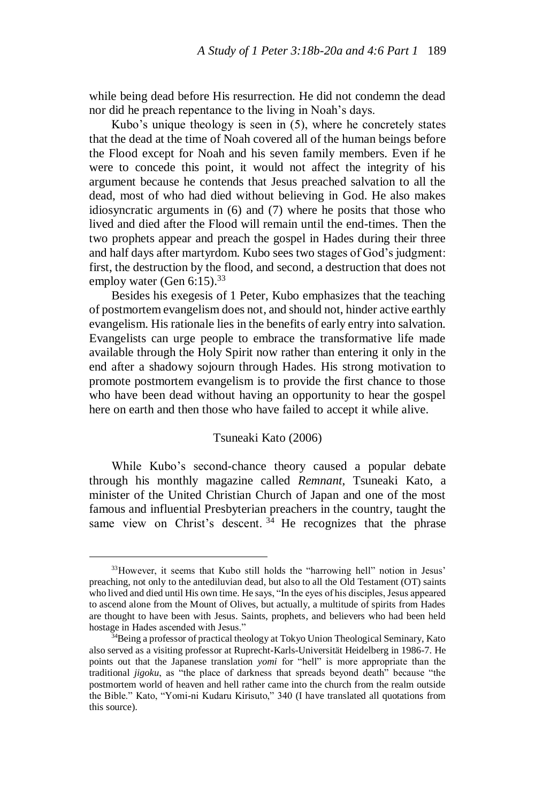while being dead before His resurrection. He did not condemn the dead nor did he preach repentance to the living in Noah's days.

Kubo's unique theology is seen in (5), where he concretely states that the dead at the time of Noah covered all of the human beings before the Flood except for Noah and his seven family members. Even if he were to concede this point, it would not affect the integrity of his argument because he contends that Jesus preached salvation to all the dead, most of who had died without believing in God. He also makes idiosyncratic arguments in (6) and (7) where he posits that those who lived and died after the Flood will remain until the end-times. Then the two prophets appear and preach the gospel in Hades during their three and half days after martyrdom. Kubo sees two stages of God's judgment: first, the destruction by the flood, and second, a destruction that does not employ water (Gen 6:15).<sup>33</sup>

Besides his exegesis of 1 Peter, Kubo emphasizes that the teaching of postmortem evangelism does not, and should not, hinder active earthly evangelism. His rationale lies in the benefits of early entry into salvation. Evangelists can urge people to embrace the transformative life made available through the Holy Spirit now rather than entering it only in the end after a shadowy sojourn through Hades. His strong motivation to promote postmortem evangelism is to provide the first chance to those who have been dead without having an opportunity to hear the gospel here on earth and then those who have failed to accept it while alive.

# Tsuneaki Kato (2006)

While Kubo's second-chance theory caused a popular debate through his monthly magazine called *Remnant*, Tsuneaki Kato, a minister of the United Christian Church of Japan and one of the most famous and influential Presbyterian preachers in the country, taught the same view on Christ's descent.  $34$  He recognizes that the phrase

<sup>33</sup>However, it seems that Kubo still holds the "harrowing hell" notion in Jesus' preaching, not only to the antediluvian dead, but also to all the Old Testament (OT) saints who lived and died until His own time. He says, "In the eyes of his disciples, Jesus appeared to ascend alone from the Mount of Olives, but actually, a multitude of spirits from Hades are thought to have been with Jesus. Saints, prophets, and believers who had been held hostage in Hades ascended with Jesus."

<sup>34</sup>Being a professor of practical theology at Tokyo Union Theological Seminary, Kato also served as a visiting professor at Ruprecht-Karls-Universität Heidelberg in 1986-7. He points out that the Japanese translation *yomi* for "hell" is more appropriate than the traditional *jigoku*, as "the place of darkness that spreads beyond death" because "the postmortem world of heaven and hell rather came into the church from the realm outside the Bible." Kato, "Yomi-ni Kudaru Kirisuto," 340 (I have translated all quotations from this source).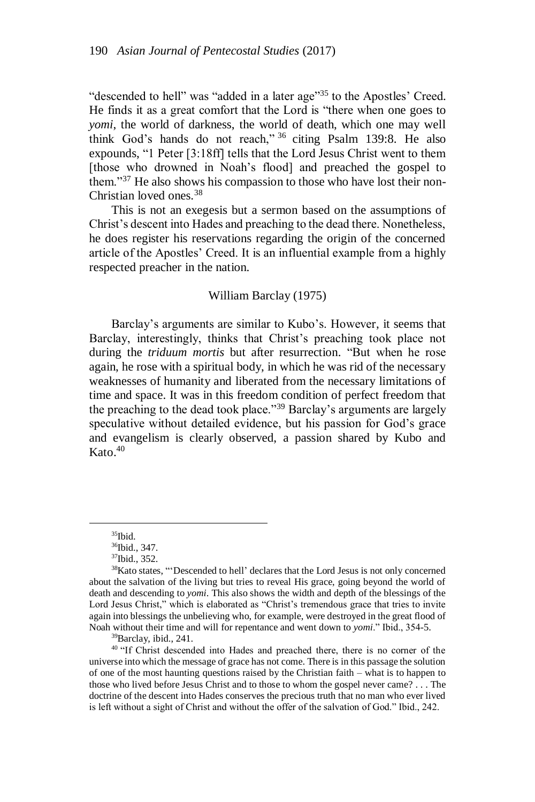"descended to hell" was "added in a later age"<sup>35</sup> to the Apostles' Creed. He finds it as a great comfort that the Lord is "there when one goes to *yomi*, the world of darkness, the world of death, which one may well think God's hands do not reach," <sup>36</sup> citing Psalm 139:8. He also expounds, "1 Peter [3:18ff] tells that the Lord Jesus Christ went to them [those who drowned in Noah's flood] and preached the gospel to them."<sup>37</sup> He also shows his compassion to those who have lost their non-Christian loved ones.<sup>38</sup>

This is not an exegesis but a sermon based on the assumptions of Christ's descent into Hades and preaching to the dead there. Nonetheless, he does register his reservations regarding the origin of the concerned article of the Apostles' Creed. It is an influential example from a highly respected preacher in the nation.

### William Barclay (1975)

Barclay's arguments are similar to Kubo's. However, it seems that Barclay, interestingly, thinks that Christ's preaching took place not during the *triduum mortis* but after resurrection. "But when he rose again, he rose with a spiritual body, in which he was rid of the necessary weaknesses of humanity and liberated from the necessary limitations of time and space. It was in this freedom condition of perfect freedom that the preaching to the dead took place."<sup>39</sup> Barclay's arguments are largely speculative without detailed evidence, but his passion for God's grace and evangelism is clearly observed, a passion shared by Kubo and  $K$ ato.  $40$ 

 $\overline{a}$ 

<sup>39</sup>Barclay, ibid., 241.

<sup>40</sup> "If Christ descended into Hades and preached there, there is no corner of the universe into which the message of grace has not come. There is in this passage the solution of one of the most haunting questions raised by the Christian faith – what is to happen to those who lived before Jesus Christ and to those to whom the gospel never came? . . . The doctrine of the descent into Hades conserves the precious truth that no man who ever lived is left without a sight of Christ and without the offer of the salvation of God." Ibid., 242.

<sup>35</sup>Ibid.

<sup>36</sup>Ibid., 347.

<sup>37</sup>Ibid., 352.

<sup>&</sup>lt;sup>38</sup>Kato states, "'Descended to hell' declares that the Lord Jesus is not only concerned about the salvation of the living but tries to reveal His grace, going beyond the world of death and descending to *yomi*. This also shows the width and depth of the blessings of the Lord Jesus Christ," which is elaborated as "Christ's tremendous grace that tries to invite again into blessings the unbelieving who, for example, were destroyed in the great flood of Noah without their time and will for repentance and went down to *yomi*." Ibid., 354-5.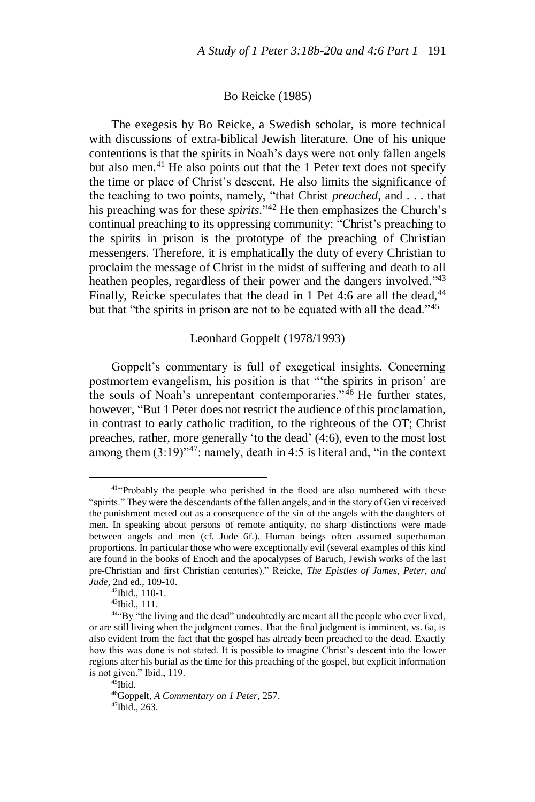#### Bo Reicke (1985)

The exegesis by Bo Reicke, a Swedish scholar, is more technical with discussions of extra-biblical Jewish literature. One of his unique contentions is that the spirits in Noah's days were not only fallen angels but also men. $41$  He also points out that the 1 Peter text does not specify the time or place of Christ's descent. He also limits the significance of the teaching to two points, namely, "that Christ *preached*, and . . . that his preaching was for these *spirits*." <sup>42</sup> He then emphasizes the Church's continual preaching to its oppressing community: "Christ's preaching to the spirits in prison is the prototype of the preaching of Christian messengers. Therefore, it is emphatically the duty of every Christian to proclaim the message of Christ in the midst of suffering and death to all heathen peoples, regardless of their power and the dangers involved."<sup>43</sup> Finally, Reicke speculates that the dead in 1 Pet 4:6 are all the dead,  $44$ but that "the spirits in prison are not to be equated with all the dead."<sup>45</sup>

# Leonhard Goppelt (1978/1993)

Goppelt's commentary is full of exegetical insights. Concerning postmortem evangelism, his position is that "'the spirits in prison' are the souls of Noah's unrepentant contemporaries."<sup>46</sup> He further states, however, "But 1 Peter does not restrict the audience of this proclamation, in contrast to early catholic tradition, to the righteous of the OT; Christ preaches, rather, more generally 'to the dead' (4:6), even to the most lost among them  $(3:19)^{47}$ : namely, death in 4:5 is literal and, "in the context"

<sup>&</sup>lt;sup>41"</sup>Probably the people who perished in the flood are also numbered with these "spirits." They were the descendants of the fallen angels, and in the story of Gen vi received the punishment meted out as a consequence of the sin of the angels with the daughters of men. In speaking about persons of remote antiquity, no sharp distinctions were made between angels and men (cf. Jude 6f.). Human beings often assumed superhuman proportions. In particular those who were exceptionally evil (several examples of this kind are found in the books of Enoch and the apocalypses of Baruch, Jewish works of the last pre-Christian and first Christian centuries)." Reicke, *The Epistles of James, Peter, and Jude*, 2nd ed., 109-10.

<sup>42</sup>Ibid., 110-1.

<sup>43</sup>Ibid., 111.

<sup>44</sup>"By "the living and the dead" undoubtedly are meant all the people who ever lived, or are still living when the judgment comes. That the final judgment is imminent, vs. 6a, is also evident from the fact that the gospel has already been preached to the dead. Exactly how this was done is not stated. It is possible to imagine Christ's descent into the lower regions after his burial as the time for this preaching of the gospel, but explicit information is not given." Ibid., 119.

 $45$ Ibid. <sup>46</sup>Goppelt, *A Commentary on 1 Peter*, 257.  $47$ Ibid., 263.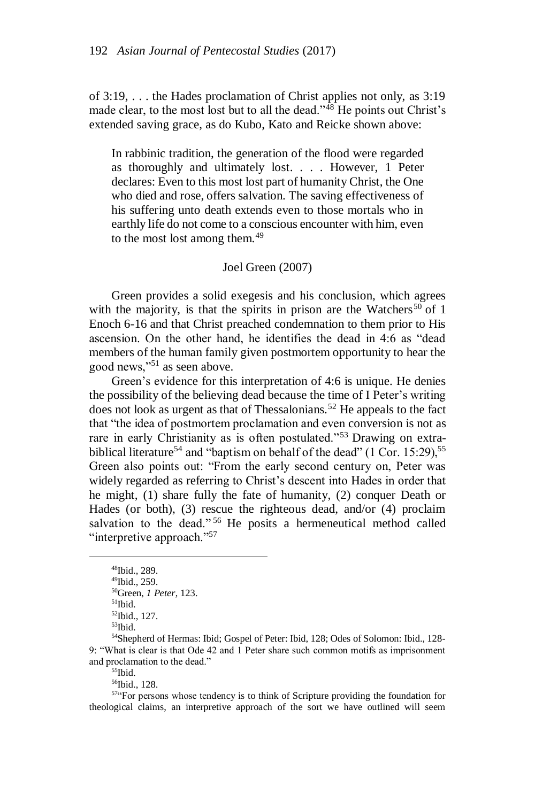of 3:19, . . . the Hades proclamation of Christ applies not only, as 3:19 made clear, to the most lost but to all the dead."<sup>48</sup> He points out Christ's extended saving grace, as do Kubo, Kato and Reicke shown above:

In rabbinic tradition, the generation of the flood were regarded as thoroughly and ultimately lost. . . . However, 1 Peter declares: Even to this most lost part of humanity Christ, the One who died and rose, offers salvation. The saving effectiveness of his suffering unto death extends even to those mortals who in earthly life do not come to a conscious encounter with him, even to the most lost among them.<sup>49</sup>

## Joel Green (2007)

Green provides a solid exegesis and his conclusion, which agrees with the majority, is that the spirits in prison are the Watchers<sup>50</sup> of 1 Enoch 6-16 and that Christ preached condemnation to them prior to His ascension. On the other hand, he identifies the dead in 4:6 as "dead members of the human family given postmortem opportunity to hear the good news,"<sup>51</sup> as seen above.

Green's evidence for this interpretation of 4:6 is unique. He denies the possibility of the believing dead because the time of I Peter's writing does not look as urgent as that of Thessalonians.<sup>52</sup> He appeals to the fact that "the idea of postmortem proclamation and even conversion is not as rare in early Christianity as is often postulated."<sup>53</sup> Drawing on extrabiblical literature<sup>54</sup> and "baptism on behalf of the dead" (1 Cor. 15:29),<sup>55</sup> Green also points out: "From the early second century on, Peter was widely regarded as referring to Christ's descent into Hades in order that he might, (1) share fully the fate of humanity, (2) conquer Death or Hades (or both), (3) rescue the righteous dead, and/or (4) proclaim salvation to the dead."<sup>56</sup> He posits a hermeneutical method called "interpretive approach."<sup>57</sup>

 $\overline{a}$ 

 $\rm ^{55}Ibid.$ 

<sup>56</sup>Ibid., 128.

<sup>57"</sup>For persons whose tendency is to think of Scripture providing the foundation for theological claims, an interpretive approach of the sort we have outlined will seem

<sup>48</sup>Ibid., 289.

<sup>49</sup>Ibid., 259.

<sup>50</sup>Green, *1 Peter*, 123.

<sup>51</sup>Ibid.

<sup>52</sup>Ibid., 127.

<sup>53</sup>Ibid.

<sup>54</sup>Shepherd of Hermas: Ibid; Gospel of Peter: Ibid, 128; Odes of Solomon: Ibid., 128- 9: "What is clear is that Ode 42 and 1 Peter share such common motifs as imprisonment and proclamation to the dead."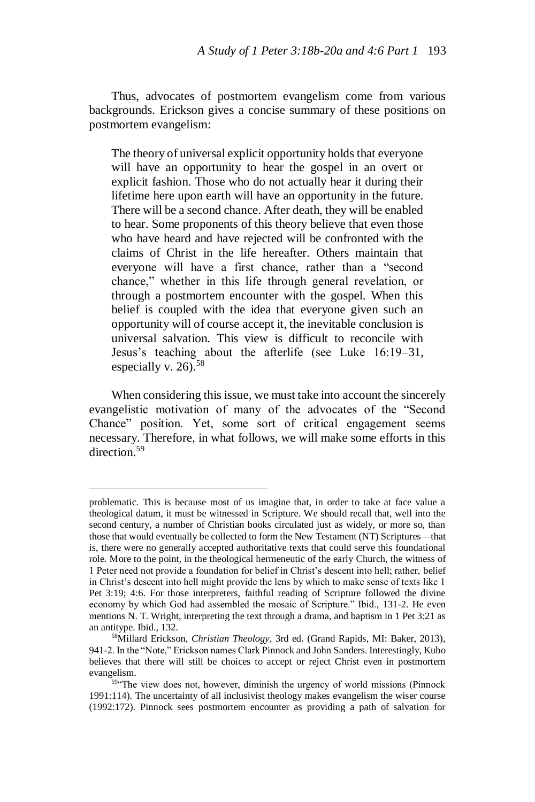Thus, advocates of postmortem evangelism come from various backgrounds. Erickson gives a concise summary of these positions on postmortem evangelism:

The theory of universal explicit opportunity holds that everyone will have an opportunity to hear the gospel in an overt or explicit fashion. Those who do not actually hear it during their lifetime here upon earth will have an opportunity in the future. There will be a second chance. After death, they will be enabled to hear. Some proponents of this theory believe that even those who have heard and have rejected will be confronted with the claims of Christ in the life hereafter. Others maintain that everyone will have a first chance, rather than a "second chance," whether in this life through general revelation, or through a postmortem encounter with the gospel. When this belief is coupled with the idea that everyone given such an opportunity will of course accept it, the inevitable conclusion is universal salvation. This view is difficult to reconcile with Jesus's teaching about the afterlife (see Luke 16:19–31, especially v. 26).<sup>58</sup>

When considering this issue, we must take into account the sincerely evangelistic motivation of many of the advocates of the "Second Chance" position. Yet, some sort of critical engagement seems necessary. Therefore, in what follows, we will make some efforts in this direction<sup>59</sup>

problematic. This is because most of us imagine that, in order to take at face value a theological datum, it must be witnessed in Scripture. We should recall that, well into the second century, a number of Christian books circulated just as widely, or more so, than those that would eventually be collected to form the New Testament (NT) Scriptures—that is, there were no generally accepted authoritative texts that could serve this foundational role. More to the point, in the theological hermeneutic of the early Church, the witness of 1 Peter need not provide a foundation for belief in Christ's descent into hell; rather, belief in Christ's descent into hell might provide the lens by which to make sense of texts like 1 Pet 3:19; 4:6. For those interpreters, faithful reading of Scripture followed the divine economy by which God had assembled the mosaic of Scripture." Ibid., 131-2. He even mentions N. T. Wright, interpreting the text through a drama, and baptism in 1 Pet 3:21 as an antitype. Ibid., 132.

<sup>58</sup>Millard Erickson, *Christian Theology*, 3rd ed. (Grand Rapids, MI: Baker, 2013), 941-2. In the "Note," Erickson names Clark Pinnock and John Sanders. Interestingly, Kubo believes that there will still be choices to accept or reject Christ even in postmortem evangelism.

 $59$  The view does not, however, diminish the urgency of world missions (Pinnock 1991:114). The uncertainty of all inclusivist theology makes evangelism the wiser course (1992:172). Pinnock sees postmortem encounter as providing a path of salvation for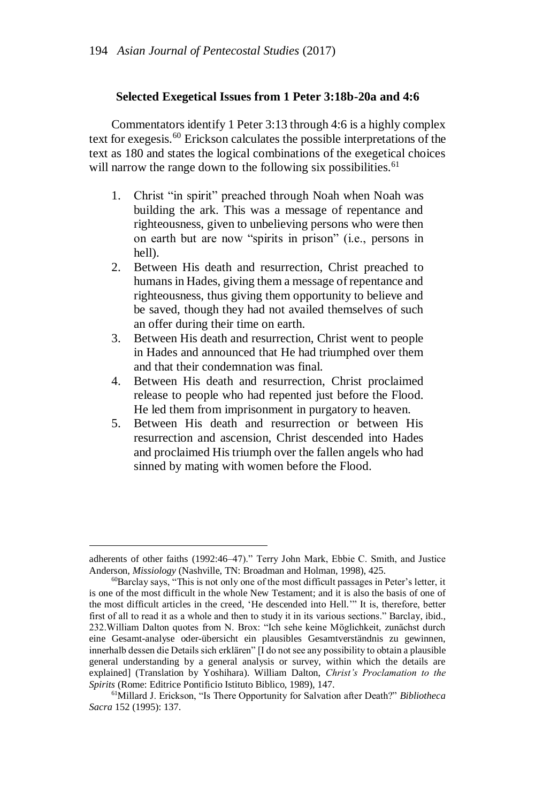#### **Selected Exegetical Issues from 1 Peter 3:18b-20a and 4:6**

Commentators identify 1 Peter 3:13 through 4:6 is a highly complex text for exegesis.<sup>60</sup> Erickson calculates the possible interpretations of the text as 180 and states the logical combinations of the exegetical choices will narrow the range down to the following six possibilities.<sup>61</sup>

- 1. Christ "in spirit" preached through Noah when Noah was building the ark. This was a message of repentance and righteousness, given to unbelieving persons who were then on earth but are now "spirits in prison" (i.e., persons in hell).
- 2. Between His death and resurrection, Christ preached to humans in Hades, giving them a message of repentance and righteousness, thus giving them opportunity to believe and be saved, though they had not availed themselves of such an offer during their time on earth.
- 3. Between His death and resurrection, Christ went to people in Hades and announced that He had triumphed over them and that their condemnation was final.
- 4. Between His death and resurrection, Christ proclaimed release to people who had repented just before the Flood. He led them from imprisonment in purgatory to heaven.
- 5. Between His death and resurrection or between His resurrection and ascension, Christ descended into Hades and proclaimed His triumph over the fallen angels who had sinned by mating with women before the Flood.

adherents of other faiths (1992:46–47)." Terry John Mark, Ebbie C. Smith, and Justice Anderson, *Missiology* (Nashville, TN: Broadman and Holman, 1998), 425.

<sup>60</sup>Barclay says, "This is not only one of the most difficult passages in Peter's letter, it is one of the most difficult in the whole New Testament; and it is also the basis of one of the most difficult articles in the creed, 'He descended into Hell.'" It is, therefore, better first of all to read it as a whole and then to study it in its various sections." Barclay, ibid., 232.William Dalton quotes from N. Brox: "Ich sehe keine Möglichkeit, zunächst durch eine Gesamt-analyse oder-übersicht ein plausibles Gesamtverständnis zu gewinnen, innerhalb dessen die Details sich erklären" [I do not see any possibility to obtain a plausible general understanding by a general analysis or survey, within which the details are explained] (Translation by Yoshihara). William Dalton, *Christ's Proclamation to the Spirits* (Rome: Editrice Pontificio Istituto Biblico, 1989), 147.

<sup>61</sup>Millard J. Erickson, "Is There Opportunity for Salvation after Death?" *Bibliotheca Sacra* 152 (1995): 137.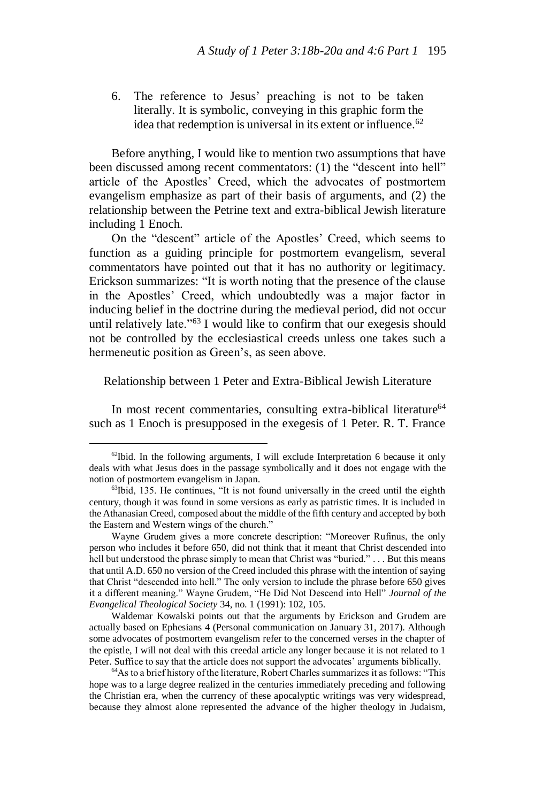6. The reference to Jesus' preaching is not to be taken literally. It is symbolic, conveying in this graphic form the idea that redemption is universal in its extent or influence.<sup>62</sup>

Before anything, I would like to mention two assumptions that have been discussed among recent commentators: (1) the "descent into hell" article of the Apostles' Creed, which the advocates of postmortem evangelism emphasize as part of their basis of arguments, and (2) the relationship between the Petrine text and extra-biblical Jewish literature including 1 Enoch.

On the "descent" article of the Apostles' Creed, which seems to function as a guiding principle for postmortem evangelism, several commentators have pointed out that it has no authority or legitimacy. Erickson summarizes: "It is worth noting that the presence of the clause in the Apostles' Creed, which undoubtedly was a major factor in inducing belief in the doctrine during the medieval period, did not occur until relatively late."<sup>63</sup> I would like to confirm that our exegesis should not be controlled by the ecclesiastical creeds unless one takes such a hermeneutic position as Green's, as seen above.

### Relationship between 1 Peter and Extra-Biblical Jewish Literature

In most recent commentaries, consulting extra-biblical literature<sup>64</sup> such as 1 Enoch is presupposed in the exegesis of 1 Peter. R. T. France

 $^{62}$ Ibid. In the following arguments, I will exclude Interpretation 6 because it only deals with what Jesus does in the passage symbolically and it does not engage with the notion of postmortem evangelism in Japan.

 $63$ Ibid, 135. He continues, "It is not found universally in the creed until the eighth century, though it was found in some versions as early as patristic times. It is included in the Athanasian Creed, composed about the middle of the fifth century and accepted by both the Eastern and Western wings of the church."

Wayne Grudem gives a more concrete description: "Moreover Rufinus, the only person who includes it before 650, did not think that it meant that Christ descended into hell but understood the phrase simply to mean that Christ was "buried." . . . But this means that until A.D. 650 no version of the Creed included this phrase with the intention of saying that Christ "descended into hell." The only version to include the phrase before 650 gives it a different meaning." Wayne Grudem, "He Did Not Descend into Hell" *Journal of the Evangelical Theological Society* 34, no. 1 (1991): 102, 105.

Waldemar Kowalski points out that the arguments by Erickson and Grudem are actually based on Ephesians 4 (Personal communication on January 31, 2017). Although some advocates of postmortem evangelism refer to the concerned verses in the chapter of the epistle, I will not deal with this creedal article any longer because it is not related to 1 Peter. Suffice to say that the article does not support the advocates' arguments biblically.

<sup>64</sup>As to a brief history of the literature, Robert Charles summarizes it as follows: "This hope was to a large degree realized in the centuries immediately preceding and following the Christian era, when the currency of these apocalyptic writings was very widespread, because they almost alone represented the advance of the higher theology in Judaism,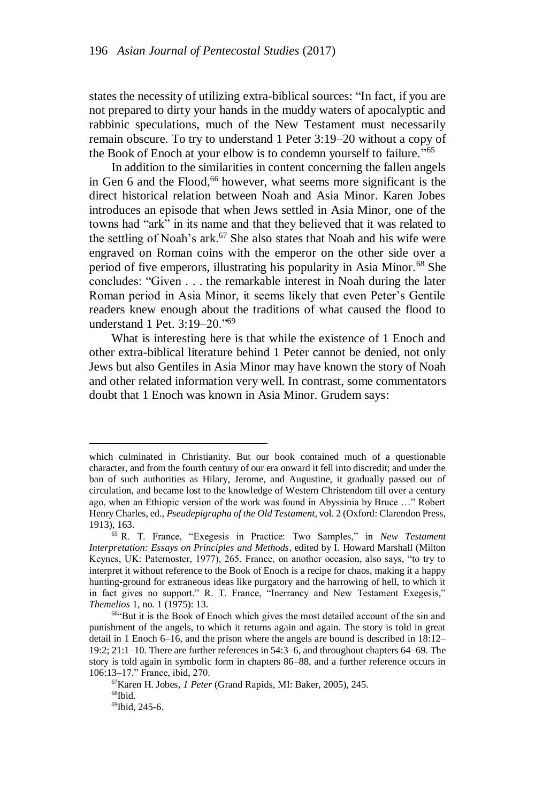states the necessity of utilizing extra-biblical sources: "In fact, if you are not prepared to dirty your hands in the muddy waters of apocalyptic and rabbinic speculations, much of the New Testament must necessarily remain obscure. To try to understand 1 Peter 3:19–20 without a copy of the Book of Enoch at your elbow is to condemn yourself to failure."<sup>65</sup>

In addition to the similarities in content concerning the fallen angels in Gen 6 and the Flood, <sup>66</sup> however, what seems more significant is the direct historical relation between Noah and Asia Minor. Karen Jobes introduces an episode that when Jews settled in Asia Minor, one of the towns had "ark" in its name and that they believed that it was related to the settling of Noah's ark.<sup>67</sup> She also states that Noah and his wife were engraved on Roman coins with the emperor on the other side over a period of five emperors, illustrating his popularity in Asia Minor.<sup>68</sup> She concludes: "Given . . . the remarkable interest in Noah during the later Roman period in Asia Minor, it seems likely that even Peter's Gentile readers knew enough about the traditions of what caused the flood to understand 1 Pet.  $3.19-20$ ."<sup>69</sup>

What is interesting here is that while the existence of 1 Enoch and other extra-biblical literature behind 1 Peter cannot be denied, not only Jews but also Gentiles in Asia Minor may have known the story of Noah and other related information very well. In contrast, some commentators doubt that 1 Enoch was known in Asia Minor. Grudem says:

which culminated in Christianity. But our book contained much of a questionable character, and from the fourth century of our era onward it fell into discredit; and under the ban of such authorities as Hilary, Jerome, and Augustine, it gradually passed out of circulation, and became lost to the knowledge of Western Christendom till over a century ago, when an Ethiopic version of the work was found in Abyssinia by Bruce …" Robert Henry Charles, ed., *Pseudepigrapha of the Old Testament*, vol. 2 (Oxford: Clarendon Press, 1913), 163.

<sup>65</sup> R. T. France, "Exegesis in Practice: Two Samples," in *New Testament Interpretation: Essays on Principles and Methods*, edited by I. Howard Marshall (Milton Keynes, UK: Paternoster, 1977), 265. France, on another occasion, also says, "to try to interpret it without reference to the Book of Enoch is a recipe for chaos, making it a happy hunting-ground for extraneous ideas like purgatory and the harrowing of hell, to which it in fact gives no support." R. T. France, "Inerrancy and New Testament Exegesis," *Themelios* 1, no. 1 (1975): 13.

<sup>66</sup>"But it is the Book of Enoch which gives the most detailed account of the sin and punishment of the angels, to which it returns again and again. The story is told in great detail in 1 Enoch 6–16, and the prison where the angels are bound is described in 18:12– 19:2; 21:1–10. There are further references in 54:3–6, and throughout chapters 64–69. The story is told again in symbolic form in chapters 86–88, and a further reference occurs in 106:13–17." France, ibid, 270.

<sup>67</sup>Karen H. Jobes, *1 Peter* (Grand Rapids, MI: Baker, 2005), 245.  $68$ Ibid. 69Ibid, 245-6.